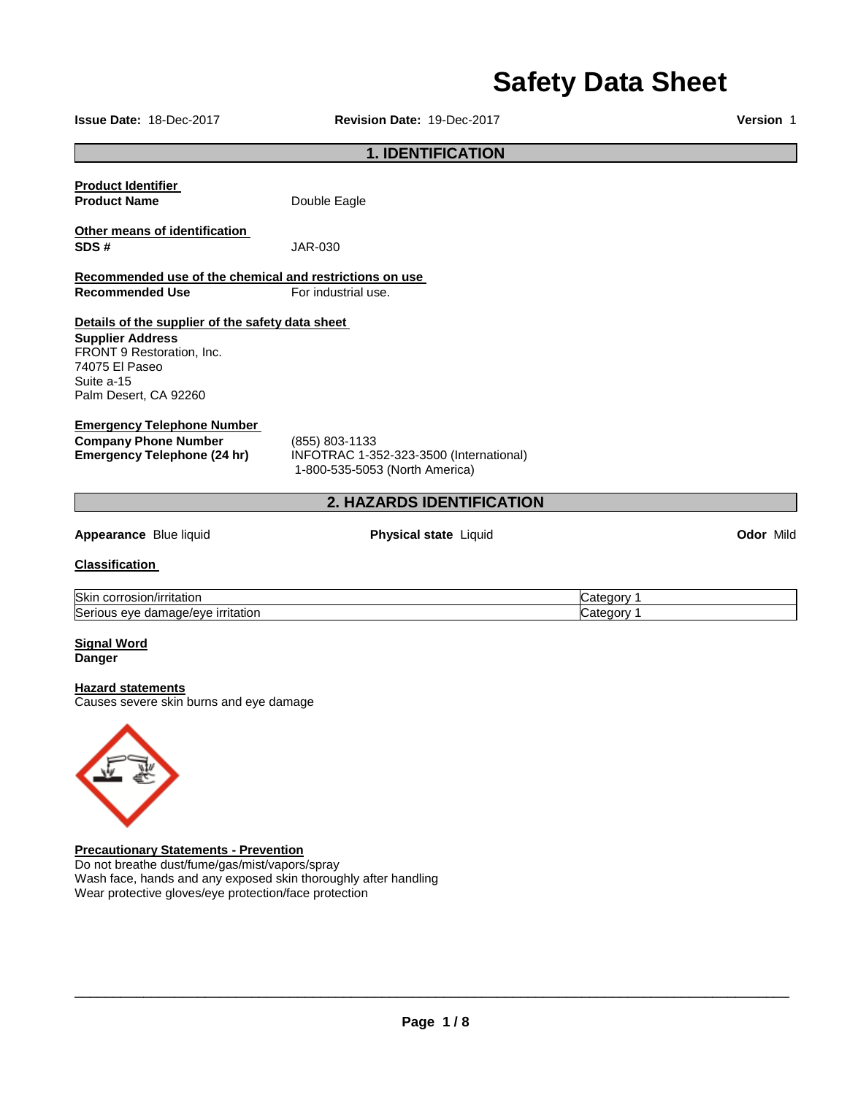# **Safety Data Sheet**

**Issue Date:** 18-Dec-2017 **Revision Date:** 19-Dec-2017 **Version** 1

### **1. IDENTIFICATION**

| <b>Product Identifier</b> |              |
|---------------------------|--------------|
| <b>Product Name</b>       | Double Eagle |

**Other means of identification** 

**Recommended use of the chemical and restrictions on use Recommended Use For industrial use.** 

**SDS #** JAR-030

### **Details of the supplier of the safety data sheet**

**Supplier Address** FRONT 9 Restoration, Inc. 74075 El Paseo Suite a-15 Palm Desert, CA 92260

### **Emergency Telephone Number**

**Company Phone Number** (855) 803-1133

**Emergency Telephone (24 hr)** INFOTRAC 1-352-323-3500 (International) 1-800-535-5053 (North America)

### **Appearance** Blue liquid **Physical state** Liquid **Odor** Mild

**2. HAZARDS IDENTIFICATION** 

#### **Classification**

| <b>Skir</b><br>ˈrɪtatıor<br>COLLOSION<br>ш                     | …neten ∍<br>edory. |
|----------------------------------------------------------------|--------------------|
| Serio<br>irritation<br>damage/eve<br>eve<br>aule.<br>uo<br>. . | ⇔ategor∨           |

#### **Signal Word Danger**

### **Hazard statements**

Causes severe skin burns and eye damage



### **Precautionary Statements - Prevention**

Do not breathe dust/fume/gas/mist/vapors/spray Wash face, hands and any exposed skin thoroughly after handling Wear protective gloves/eye protection/face protection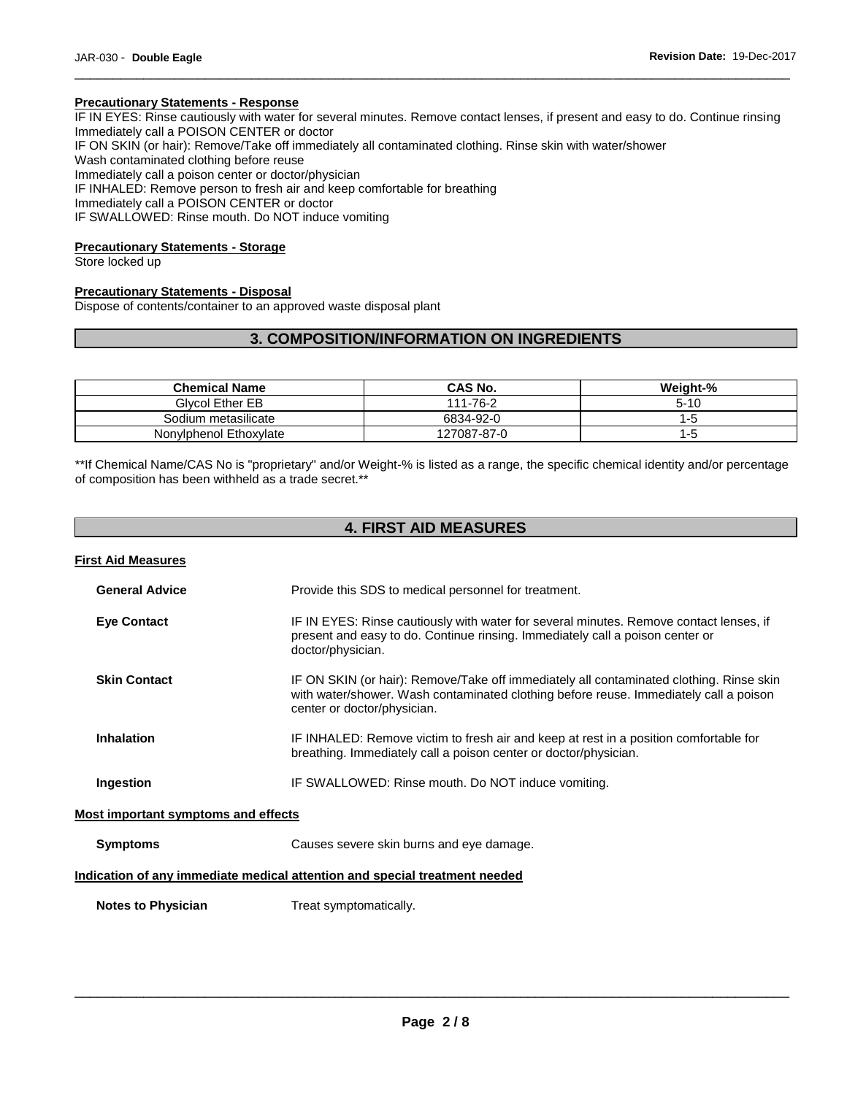### **Precautionary Statements - Response**

IF IN EYES: Rinse cautiously with water for several minutes. Remove contact lenses, if present and easy to do. Continue rinsing Immediately call a POISON CENTER or doctor IF ON SKIN (or hair): Remove/Take off immediately all contaminated clothing. Rinse skin with water/shower Wash contaminated clothing before reuse Immediately call a poison center or doctor/physician IF INHALED: Remove person to fresh air and keep comfortable for breathing

\_\_\_\_\_\_\_\_\_\_\_\_\_\_\_\_\_\_\_\_\_\_\_\_\_\_\_\_\_\_\_\_\_\_\_\_\_\_\_\_\_\_\_\_\_\_\_\_\_\_\_\_\_\_\_\_\_\_\_\_\_\_\_\_\_\_\_\_\_\_\_\_\_\_\_\_\_\_\_\_\_\_\_\_\_\_\_\_\_\_\_\_\_

Immediately call a POISON CENTER or doctor

IF SWALLOWED: Rinse mouth. Do NOT induce vomiting

### **Precautionary Statements - Storage**

Store locked up

### **Precautionary Statements - Disposal**

Dispose of contents/container to an approved waste disposal plant

### **3. COMPOSITION/INFORMATION ON INGREDIENTS**

| <b>Chemical Name</b>   | CAS No.     | Weight-% |
|------------------------|-------------|----------|
| <b>Givcol Ether EB</b> | 111-76-2    | $5 - 10$ |
| Sodium metasilicate    | 6834-92-0   | l -5     |
| Nonylphenol Ethoxylate | 127087-87-0 | 1-5      |

\*\*If Chemical Name/CAS No is "proprietary" and/or Weight-% is listed as a range, the specific chemical identity and/or percentage of composition has been withheld as a trade secret.\*\*

### **4. FIRST AID MEASURES**

| <b>First Aid Measures</b>                  |                                                                                                                                                                                                                 |
|--------------------------------------------|-----------------------------------------------------------------------------------------------------------------------------------------------------------------------------------------------------------------|
| <b>General Advice</b>                      | Provide this SDS to medical personnel for treatment.                                                                                                                                                            |
| <b>Eye Contact</b>                         | IF IN EYES: Rinse cautiously with water for several minutes. Remove contact lenses, if<br>present and easy to do. Continue rinsing. Immediately call a poison center or<br>doctor/physician.                    |
| <b>Skin Contact</b>                        | IF ON SKIN (or hair): Remove/Take off immediately all contaminated clothing. Rinse skin<br>with water/shower. Wash contaminated clothing before reuse. Immediately call a poison<br>center or doctor/physician. |
| <b>Inhalation</b>                          | IF INHALED: Remove victim to fresh air and keep at rest in a position comfortable for<br>breathing. Immediately call a poison center or doctor/physician.                                                       |
| Ingestion                                  | IF SWALLOWED: Rinse mouth. Do NOT induce vomiting.                                                                                                                                                              |
| <b>Most important symptoms and effects</b> |                                                                                                                                                                                                                 |
| <b>Symptoms</b>                            | Causes severe skin burns and eye damage.                                                                                                                                                                        |
|                                            | Indication of any immediate medical attention and special treatment needed                                                                                                                                      |
| <b>Notes to Physician</b>                  | Treat symptomatically.                                                                                                                                                                                          |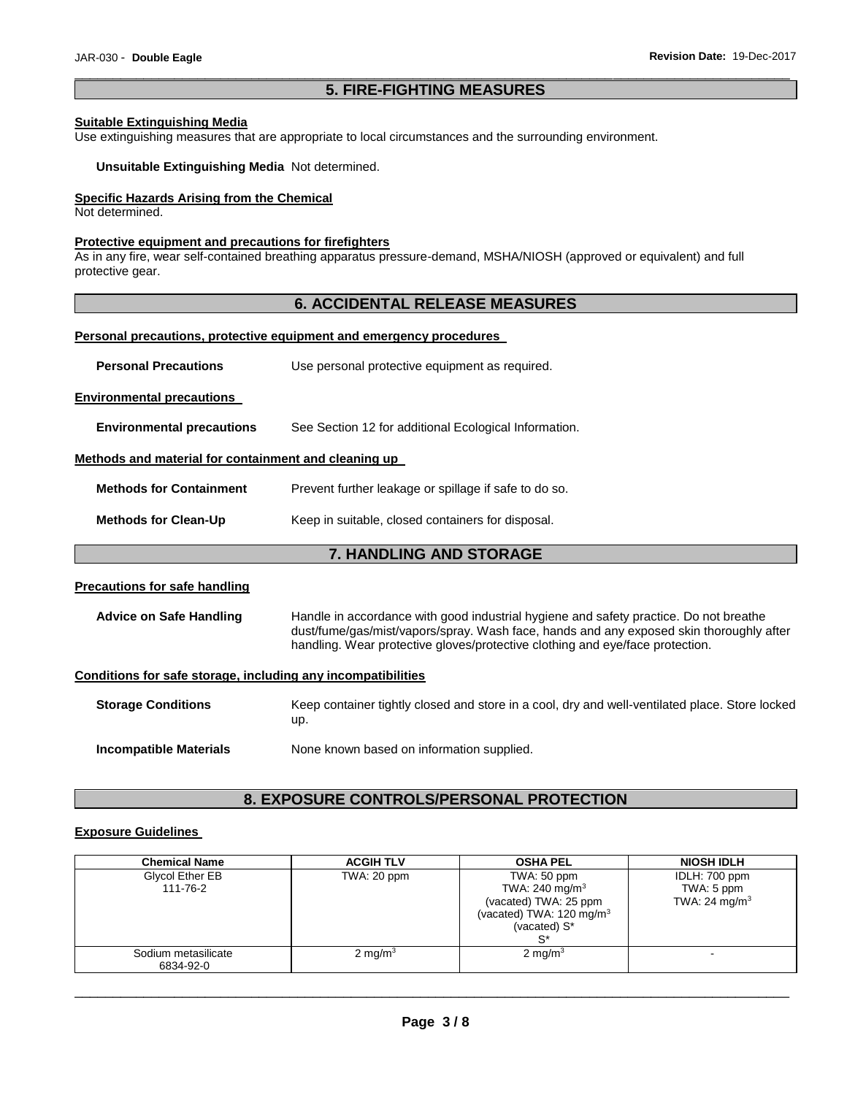### \_\_\_\_\_\_\_\_\_\_\_\_\_\_\_\_\_\_\_\_\_\_\_\_\_\_\_\_\_\_\_\_\_\_\_\_\_\_\_\_\_\_\_\_\_\_\_\_\_\_\_\_\_\_\_\_\_\_\_\_\_\_\_\_\_\_\_\_\_\_\_\_\_\_\_\_\_\_\_\_\_\_\_\_\_\_\_\_\_\_\_\_\_ **5. FIRE-FIGHTING MEASURES**

### **Suitable Extinguishing Media**

Use extinguishing measures that are appropriate to local circumstances and the surrounding environment.

**Unsuitable Extinguishing Media** Not determined.

### **Specific Hazards Arising from the Chemical**

Not determined.

### **Protective equipment and precautions for firefighters**

As in any fire, wear self-contained breathing apparatus pressure-demand, MSHA/NIOSH (approved or equivalent) and full protective gear.

### **6. ACCIDENTAL RELEASE MEASURES**

### **Personal precautions, protective equipment and emergency procedures**

| <b>Personal Precautions</b>                                  | Use personal protective equipment as required.                                                                                                                                                                                                                    |  |
|--------------------------------------------------------------|-------------------------------------------------------------------------------------------------------------------------------------------------------------------------------------------------------------------------------------------------------------------|--|
| <b>Environmental precautions</b>                             |                                                                                                                                                                                                                                                                   |  |
| <b>Environmental precautions</b>                             | See Section 12 for additional Ecological Information.                                                                                                                                                                                                             |  |
| Methods and material for containment and cleaning up         |                                                                                                                                                                                                                                                                   |  |
| <b>Methods for Containment</b>                               | Prevent further leakage or spillage if safe to do so.                                                                                                                                                                                                             |  |
| <b>Methods for Clean-Up</b>                                  | Keep in suitable, closed containers for disposal.                                                                                                                                                                                                                 |  |
| <b>7. HANDLING AND STORAGE</b>                               |                                                                                                                                                                                                                                                                   |  |
| <b>Precautions for safe handling</b>                         |                                                                                                                                                                                                                                                                   |  |
| <b>Advice on Safe Handling</b>                               | Handle in accordance with good industrial hygiene and safety practice. Do not breathe<br>dust/fume/gas/mist/vapors/spray. Wash face, hands and any exposed skin thoroughly after<br>handling. Wear protective gloves/protective clothing and eye/face protection. |  |
| Conditions for safe storage, including any incompatibilities |                                                                                                                                                                                                                                                                   |  |
| <b>Storage Conditions</b>                                    | Keep container tightly closed and store in a cool, dry and well-ventilated place. Store locked<br>up.                                                                                                                                                             |  |
| <b>Incompatible Materials</b>                                | None known based on information supplied.                                                                                                                                                                                                                         |  |

### **8. EXPOSURE CONTROLS/PERSONAL PROTECTION**

### **Exposure Guidelines**

| <b>Chemical Name</b> | <b>ACGIH TLV</b>   | <b>OSHA PEL</b>                      | <b>NIOSH IDLH</b>         |
|----------------------|--------------------|--------------------------------------|---------------------------|
| Glycol Ether EB      | TWA: 20 ppm        | TWA: 50 ppm                          | IDLH: 700 ppm             |
| 111-76-2             |                    | TWA: 240 mg/m <sup>3</sup>           | TWA: 5 ppm                |
|                      |                    | (vacated) TWA: 25 ppm                | TWA: 24 mg/m <sup>3</sup> |
|                      |                    | (vacated) TWA: 120 mg/m <sup>3</sup> |                           |
|                      |                    | (vacated) S*                         |                           |
|                      |                    | $S^*$                                |                           |
| Sodium metasilicate  | $2 \text{ mg/m}^3$ | 2 mg/m $3$                           |                           |
| 6834-92-0            |                    |                                      |                           |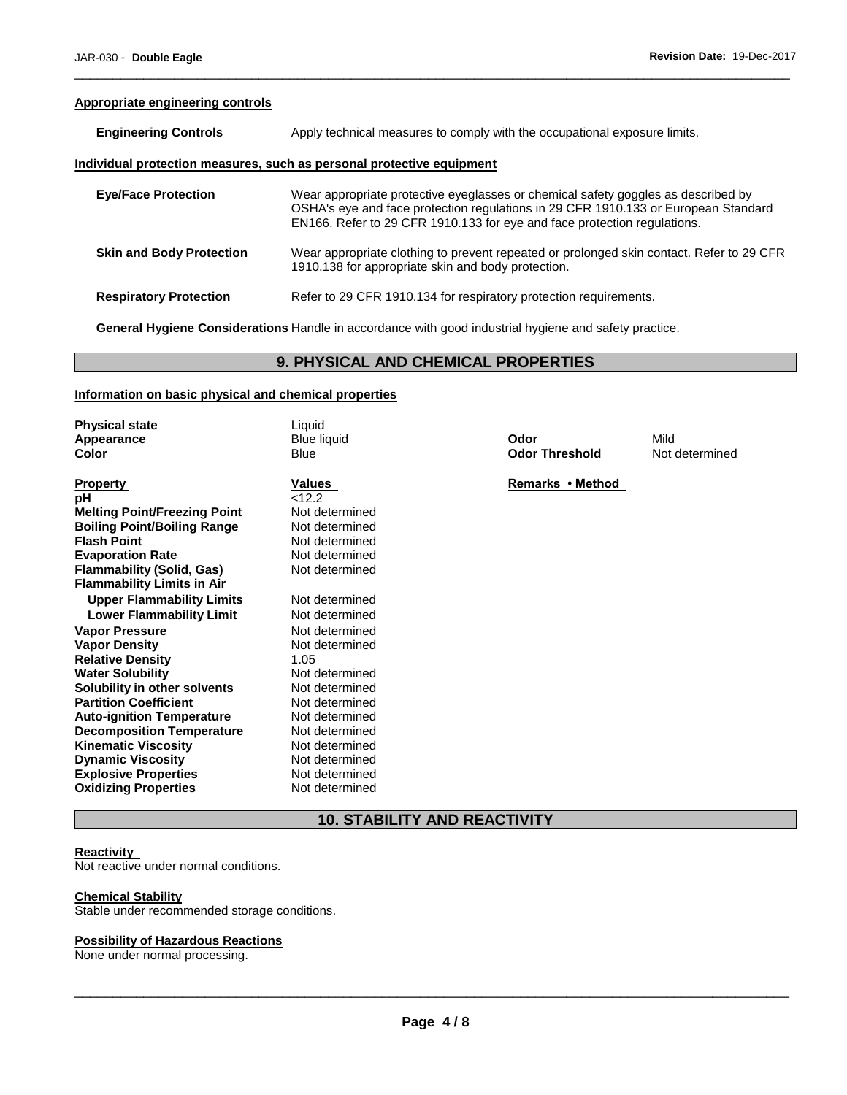### **Appropriate engineering controls**

| <b>Engineering Controls</b>     | Apply technical measures to comply with the occupational exposure limits.                                                                                                                                                                           |  |
|---------------------------------|-----------------------------------------------------------------------------------------------------------------------------------------------------------------------------------------------------------------------------------------------------|--|
|                                 | Individual protection measures, such as personal protective equipment                                                                                                                                                                               |  |
| <b>Eve/Face Protection</b>      | Wear appropriate protective eyeglasses or chemical safety goggles as described by<br>OSHA's eye and face protection regulations in 29 CFR 1910.133 or European Standard<br>EN166. Refer to 29 CFR 1910.133 for eye and face protection regulations. |  |
| <b>Skin and Body Protection</b> | Wear appropriate clothing to prevent repeated or prolonged skin contact. Refer to 29 CFR<br>1910.138 for appropriate skin and body protection.                                                                                                      |  |
| <b>Respiratory Protection</b>   | Refer to 29 CFR 1910.134 for respiratory protection requirements.                                                                                                                                                                                   |  |

\_\_\_\_\_\_\_\_\_\_\_\_\_\_\_\_\_\_\_\_\_\_\_\_\_\_\_\_\_\_\_\_\_\_\_\_\_\_\_\_\_\_\_\_\_\_\_\_\_\_\_\_\_\_\_\_\_\_\_\_\_\_\_\_\_\_\_\_\_\_\_\_\_\_\_\_\_\_\_\_\_\_\_\_\_\_\_\_\_\_\_\_\_

**General Hygiene Considerations** Handle in accordance with good industrial hygiene and safety practice.

### **9. PHYSICAL AND CHEMICAL PROPERTIES**

### **Information on basic physical and chemical properties**

| <b>Physical state</b>               | Liquid             |                       |                |
|-------------------------------------|--------------------|-----------------------|----------------|
| Appearance                          | <b>Blue liquid</b> | Odor                  | Mild           |
| <b>Color</b>                        | Blue               | <b>Odor Threshold</b> | Not determined |
|                                     |                    |                       |                |
| <b>Property</b>                     | Values             | Remarks • Method      |                |
| рH                                  | < 12.2             |                       |                |
| <b>Melting Point/Freezing Point</b> | Not determined     |                       |                |
| <b>Boiling Point/Boiling Range</b>  | Not determined     |                       |                |
| <b>Flash Point</b>                  | Not determined     |                       |                |
| <b>Evaporation Rate</b>             | Not determined     |                       |                |
| <b>Flammability (Solid, Gas)</b>    | Not determined     |                       |                |
| <b>Flammability Limits in Air</b>   |                    |                       |                |
| <b>Upper Flammability Limits</b>    | Not determined     |                       |                |
| <b>Lower Flammability Limit</b>     | Not determined     |                       |                |
| <b>Vapor Pressure</b>               | Not determined     |                       |                |
| <b>Vapor Density</b>                | Not determined     |                       |                |
| <b>Relative Density</b>             | 1.05               |                       |                |
| <b>Water Solubility</b>             | Not determined     |                       |                |
| Solubility in other solvents        | Not determined     |                       |                |
| <b>Partition Coefficient</b>        | Not determined     |                       |                |
| <b>Auto-ignition Temperature</b>    | Not determined     |                       |                |
| <b>Decomposition Temperature</b>    | Not determined     |                       |                |
| <b>Kinematic Viscosity</b>          | Not determined     |                       |                |
| <b>Dynamic Viscosity</b>            | Not determined     |                       |                |
| <b>Explosive Properties</b>         | Not determined     |                       |                |
| <b>Oxidizing Properties</b>         | Not determined     |                       |                |

### **10. STABILITY AND REACTIVITY**

### **Reactivity**

Not reactive under normal conditions.

#### **Chemical Stability**

Stable under recommended storage conditions.

### **Possibility of Hazardous Reactions**

None under normal processing.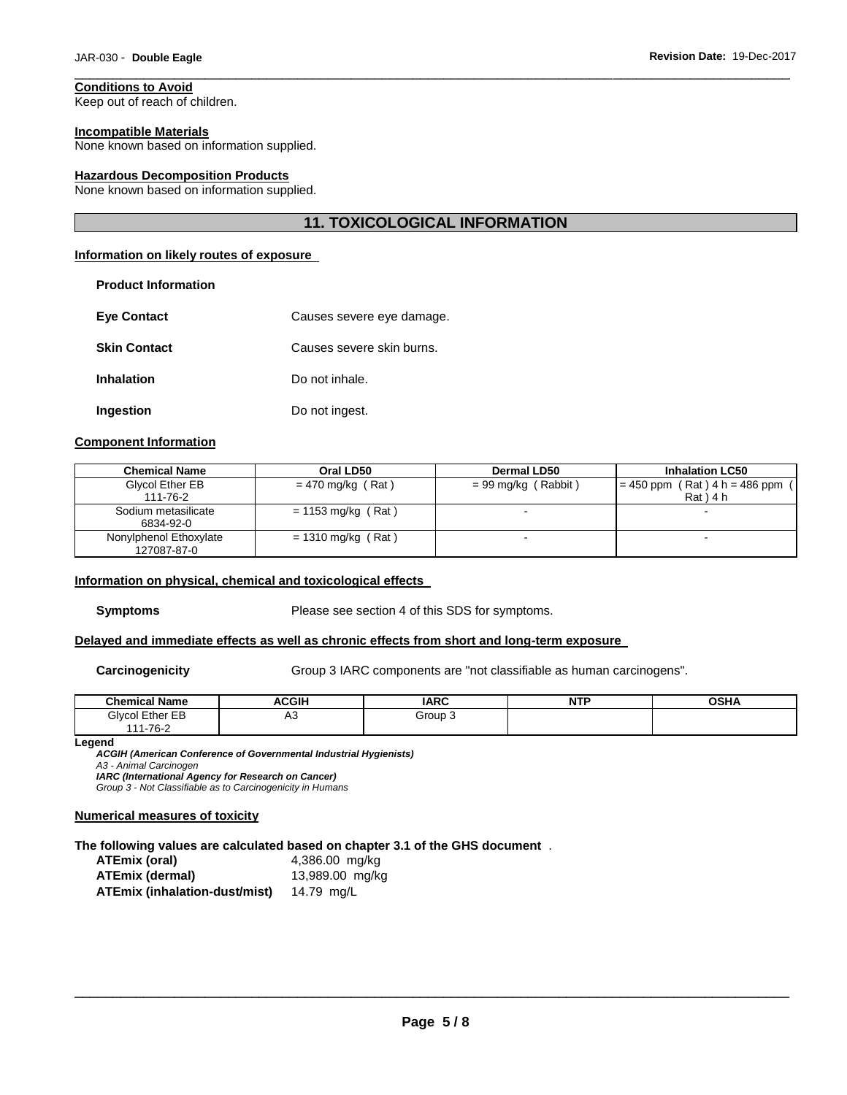# **Conditions to Avoid**

Keep out of reach of children.

**Product Information** 

#### **Incompatible Materials**

None known based on information supplied.

#### **Hazardous Decomposition Products**

None known based on information supplied.

### **11. TOXICOLOGICAL INFORMATION**

\_\_\_\_\_\_\_\_\_\_\_\_\_\_\_\_\_\_\_\_\_\_\_\_\_\_\_\_\_\_\_\_\_\_\_\_\_\_\_\_\_\_\_\_\_\_\_\_\_\_\_\_\_\_\_\_\_\_\_\_\_\_\_\_\_\_\_\_\_\_\_\_\_\_\_\_\_\_\_\_\_\_\_\_\_\_\_\_\_\_\_\_\_

### **Information on likely routes of exposure**

| FIUUUUL IIIIUI IIIALIUII |                           |
|--------------------------|---------------------------|
| <b>Eye Contact</b>       | Causes severe eye damage. |
| <b>Skin Contact</b>      | Causes severe skin burns. |
| <b>Inhalation</b>        | Do not inhale.            |
| Ingestion                | Do not ingest.            |

### **Component Information**

| <b>Chemical Name</b>   | Oral LD50            | <b>Dermal LD50</b>    | <b>Inhalation LC50</b>              |
|------------------------|----------------------|-----------------------|-------------------------------------|
| Glycol Ether EB        | $= 470$ mg/kg (Rat)  | $= 99$ mg/kg (Rabbit) | $= 450$ ppm (Rat) $4 h = 486$ ppm ( |
| 111-76-2               |                      |                       | $Rat$ ) 4 h                         |
| Sodium metasilicate    | $= 1153$ mg/kg (Rat) |                       |                                     |
| 6834-92-0              |                      |                       |                                     |
| Nonylphenol Ethoxylate | $= 1310$ mg/kg (Rat) |                       |                                     |
| 127087-87-0            |                      |                       |                                     |

#### **Information on physical, chemical and toxicological effects**

**Symptoms** Please see section 4 of this SDS for symptoms.

### **Delayed and immediate effects as well as chronic effects from short and long-term exposure**

**Carcinogenicity** Group 3 IARC components are "not classifiable as human carcinogens".

| <b>Chemical Name</b> | ACGIH | <b>IARC</b> | <b>NTF</b><br>. | <b>OSHA</b> |
|----------------------|-------|-------------|-----------------|-------------|
| Glycol Ether EB      | ∾     | Group 3     |                 |             |
| $1 - 76 - 2$<br>44   |       |             |                 |             |

#### **Legend**

*ACGIH (American Conference of Governmental Industrial Hygienists) A3 - Animal Carcinogen IARC (International Agency for Research on Cancer)*

*Group 3 - Not Classifiable as to Carcinogenicity in Humans* 

### **Numerical measures of toxicity**

#### **The following values are calculated based on chapter 3.1 of the GHS document** .

| ATEmix (oral)                 | 4,386.00 mg/kg  |
|-------------------------------|-----------------|
| ATEmix (dermal)               | 13,989.00 mg/kg |
| ATEmix (inhalation-dust/mist) | 14.79 mg/L      |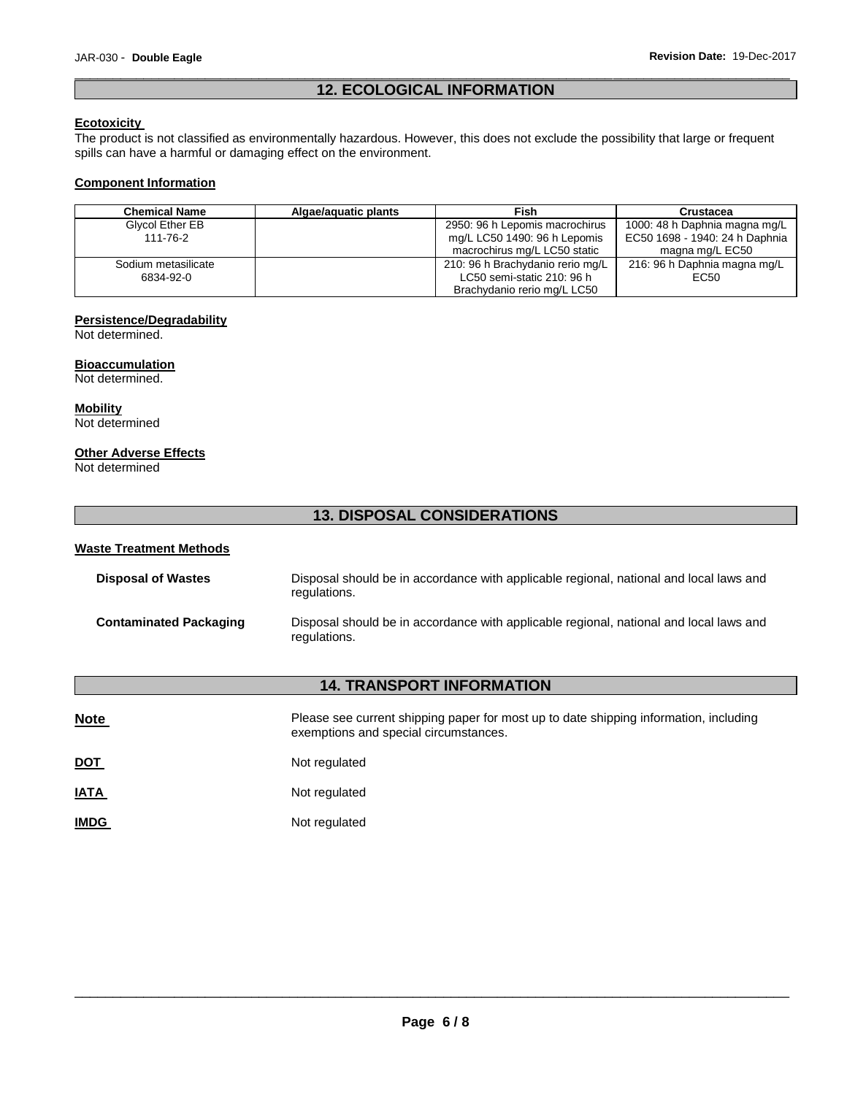### \_\_\_\_\_\_\_\_\_\_\_\_\_\_\_\_\_\_\_\_\_\_\_\_\_\_\_\_\_\_\_\_\_\_\_\_\_\_\_\_\_\_\_\_\_\_\_\_\_\_\_\_\_\_\_\_\_\_\_\_\_\_\_\_\_\_\_\_\_\_\_\_\_\_\_\_\_\_\_\_\_\_\_\_\_\_\_\_\_\_\_\_\_ **12. ECOLOGICAL INFORMATION**

### **Ecotoxicity**

The product is not classified as environmentally hazardous. However, this does not exclude the possibility that large or frequent spills can have a harmful or damaging effect on the environment.

### **Component Information**

| <b>Chemical Name</b> | Algae/aguatic plants | <b>Fish</b>                      | Crustacea                      |
|----------------------|----------------------|----------------------------------|--------------------------------|
| Glycol Ether EB      |                      | 2950: 96 h Lepomis macrochirus   | 1000: 48 h Daphnia magna mg/L  |
| 111-76-2             |                      | mg/L LC50 1490: 96 h Lepomis     | EC50 1698 - 1940: 24 h Daphnia |
|                      |                      | macrochirus mg/L LC50 static     | magna mg/L EC50                |
| Sodium metasilicate  |                      | 210: 96 h Brachydanio rerio mg/L | 216: 96 h Daphnia magna mg/L   |
| 6834-92-0            |                      | LC50 semi-static 210: 96 h       | EC50                           |
|                      |                      | Brachydanio rerio mg/L LC50      |                                |

### **Persistence/Degradability**

Not determined.

# **Bioaccumulation**

### Not determined.

**Mobility** Not determined

### **Other Adverse Effects**

Not determined

### **13. DISPOSAL CONSIDERATIONS**

### **Waste Treatment Methods**

| <b>Disposal of Wastes</b>     | Disposal should be in accordance with applicable regional, national and local laws and<br>regulations. |
|-------------------------------|--------------------------------------------------------------------------------------------------------|
| <b>Contaminated Packaging</b> | Disposal should be in accordance with applicable regional, national and local laws and<br>regulations. |

### **14. TRANSPORT INFORMATION**

| <b>Note</b> | Please see current shipping paper for most up to date shipping information, including<br>exemptions and special circumstances. |
|-------------|--------------------------------------------------------------------------------------------------------------------------------|
| <u>DOT</u>  | Not regulated                                                                                                                  |
| <b>IATA</b> | Not regulated                                                                                                                  |
| <b>IMDG</b> | Not regulated                                                                                                                  |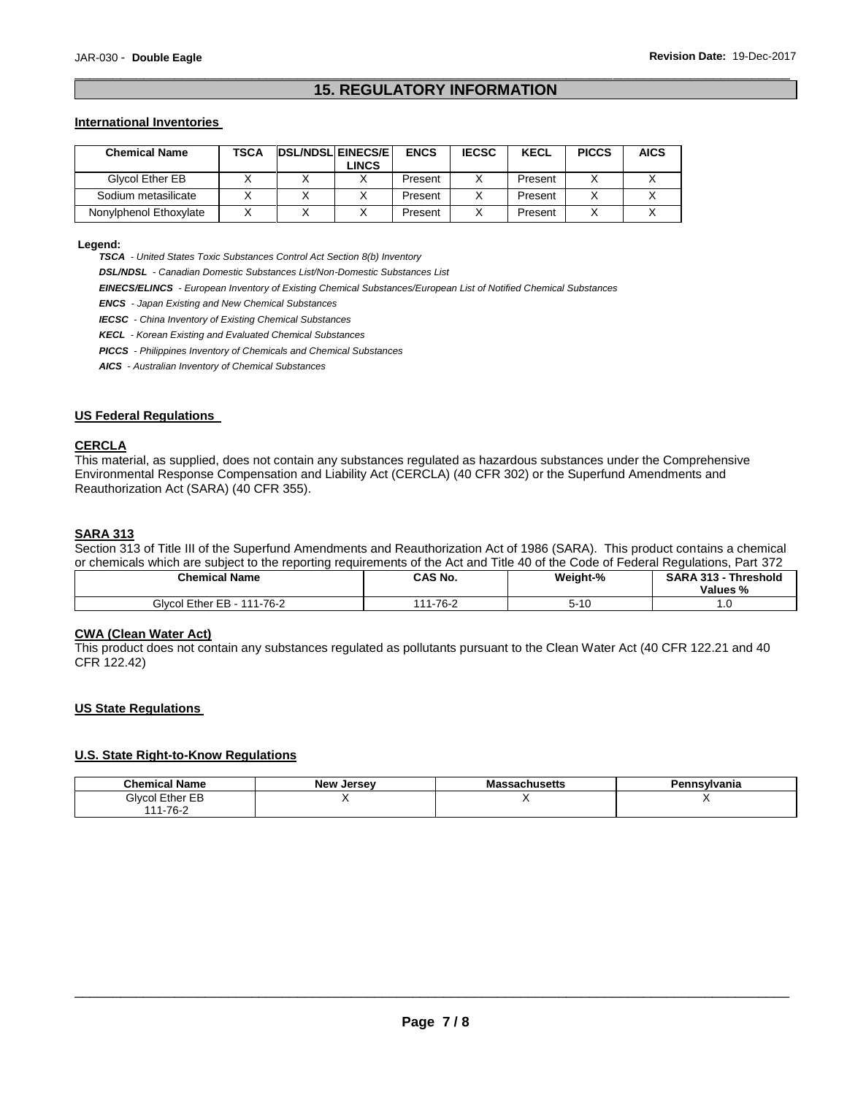### \_\_\_\_\_\_\_\_\_\_\_\_\_\_\_\_\_\_\_\_\_\_\_\_\_\_\_\_\_\_\_\_\_\_\_\_\_\_\_\_\_\_\_\_\_\_\_\_\_\_\_\_\_\_\_\_\_\_\_\_\_\_\_\_\_\_\_\_\_\_\_\_\_\_\_\_\_\_\_\_\_\_\_\_\_\_\_\_\_\_\_\_\_ **15. REGULATORY INFORMATION**

### **International Inventories**

| <b>Chemical Name</b>   | TSCA | <b>DSL/NDSL EINECS/E</b><br><b>LINCS</b> | <b>ENCS</b> | <b>IECSC</b> | <b>KECL</b> | <b>PICCS</b> | <b>AICS</b> |
|------------------------|------|------------------------------------------|-------------|--------------|-------------|--------------|-------------|
| Glycol Ether EB        |      |                                          | Present     |              | Present     |              |             |
| Sodium metasilicate    |      |                                          | Present     |              | Present     |              |             |
| Nonylphenol Ethoxylate |      |                                          | Present     |              | Present     |              |             |

**Legend:** 

*TSCA - United States Toxic Substances Control Act Section 8(b) Inventory* 

*DSL/NDSL - Canadian Domestic Substances List/Non-Domestic Substances List* 

*EINECS/ELINCS - European Inventory of Existing Chemical Substances/European List of Notified Chemical Substances* 

*ENCS - Japan Existing and New Chemical Substances* 

*IECSC - China Inventory of Existing Chemical Substances* 

*KECL - Korean Existing and Evaluated Chemical Substances* 

*PICCS - Philippines Inventory of Chemicals and Chemical Substances* 

*AICS - Australian Inventory of Chemical Substances* 

### **US Federal Regulations**

### **CERCLA**

This material, as supplied, does not contain any substances regulated as hazardous substances under the Comprehensive Environmental Response Compensation and Liability Act (CERCLA) (40 CFR 302) or the Superfund Amendments and Reauthorization Act (SARA) (40 CFR 355).

### **SARA 313**

Section 313 of Title III of the Superfund Amendments and Reauthorization Act of 1986 (SARA). This product contains a chemical or chemicals which are subject to the reporting requirements of the Act and Title 40 of the Code of Federal Regulations, Part 372

| <b>Chemical Name</b>          | <b>CAS No.</b>           | Weight-%                   | <b>SARA 313 -</b><br><b>Threshold</b><br>Values % |
|-------------------------------|--------------------------|----------------------------|---------------------------------------------------|
| Givcol Ether EB -<br>111-76-2 | 1-76-2<br>$\overline{A}$ | $\sim$ 40<br>יו – ר<br>טוי | ں ،                                               |

#### **CWA (Clean Water Act)**

This product does not contain any substances regulated as pollutants pursuant to the Clean Water Act (40 CFR 122.21 and 40 CFR 122.42)

### **US State Regulations**

### **U.S. State Right-to-Know Regulations**

| <b>Chemical Name</b> | <b>New Jersey</b> | <b>Massachusetts</b> | Pennsvlvania |
|----------------------|-------------------|----------------------|--------------|
| Givcol Ether EB      |                   |                      |              |
| 111-76-2             |                   |                      |              |